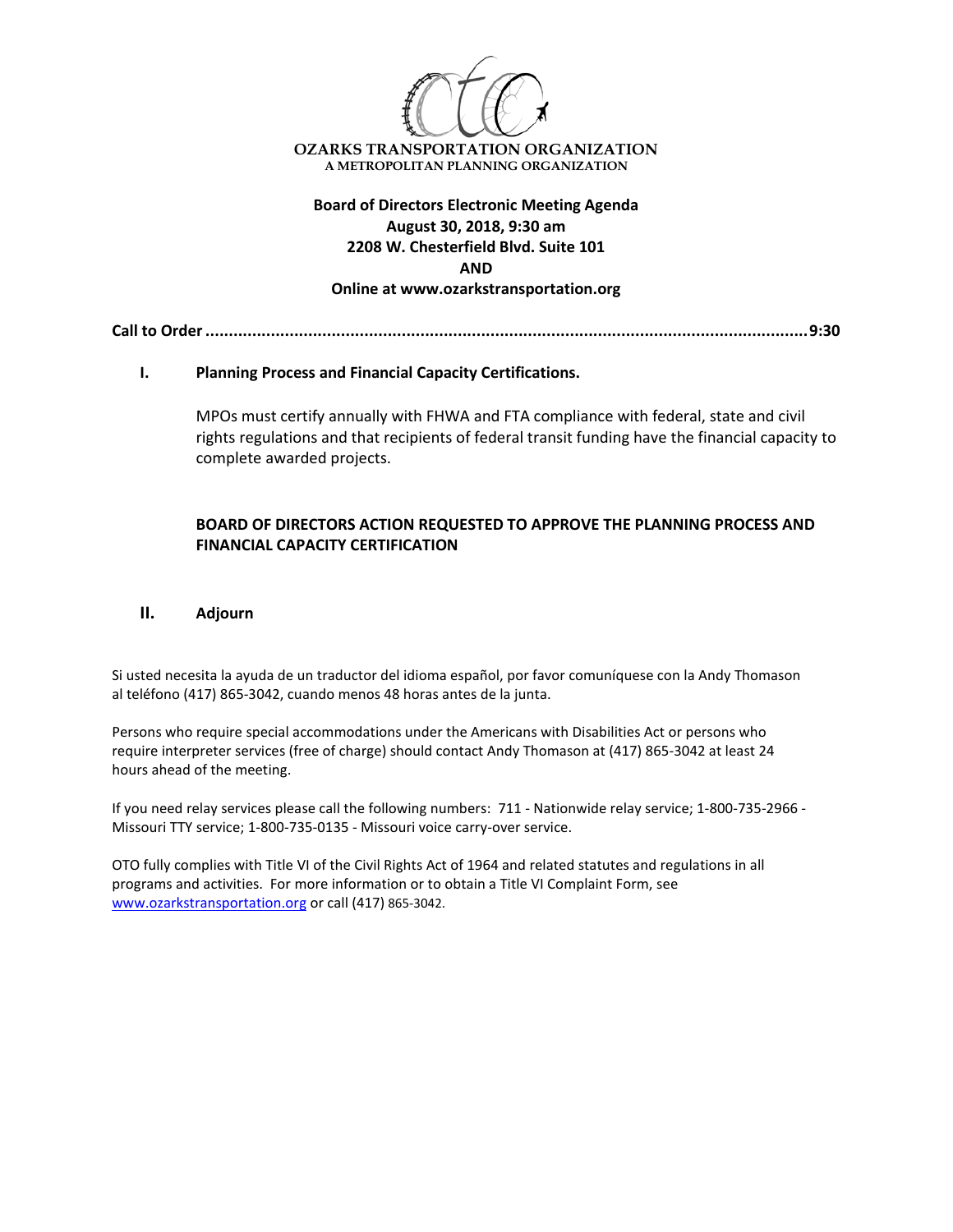

**August 30, 2018, 9:30 am 2208 W. Chesterfield Blvd. Suite 101 AND Online at www.ozarkstransportation.org**

**Call to Order.................................................................................................................................9:30**

## **I. Planning Process and Financial Capacity Certifications.**

MPOs must certify annually with FHWA and FTA compliance with federal, state and civil rights regulations and that recipients of federal transit funding have the financial capacity to complete awarded projects.

# **BOARD OF DIRECTORS ACTION REQUESTED TO APPROVE THE PLANNING PROCESS AND FINANCIAL CAPACITY CERTIFICATION**

#### **II. Adjourn**

Si usted necesita la ayuda de un traductor del idioma español, por favor comuníquese con la Andy Thomason al teléfono (417) 865-3042, cuando menos 48 horas antes de la junta.

Persons who require special accommodations under the Americans with Disabilities Act or persons who require interpreter services (free of charge) should contact Andy Thomason at (417) 865-3042 at least 24 hours ahead of the meeting.

If you need relay services please call the following numbers: 711 - Nationwide relay service; 1-800-735-2966 - Missouri TTY service; 1-800-735-0135 - Missouri voice carry-over service.

OTO fully complies with Title VI of the Civil Rights Act of 1964 and related statutes and regulations in all programs and activities. For more information or to obtain a Title VI Complaint Form, see [www.ozarkstransportation.org](http://www.ozarkstransportation.org/) or call (417) 865-3042.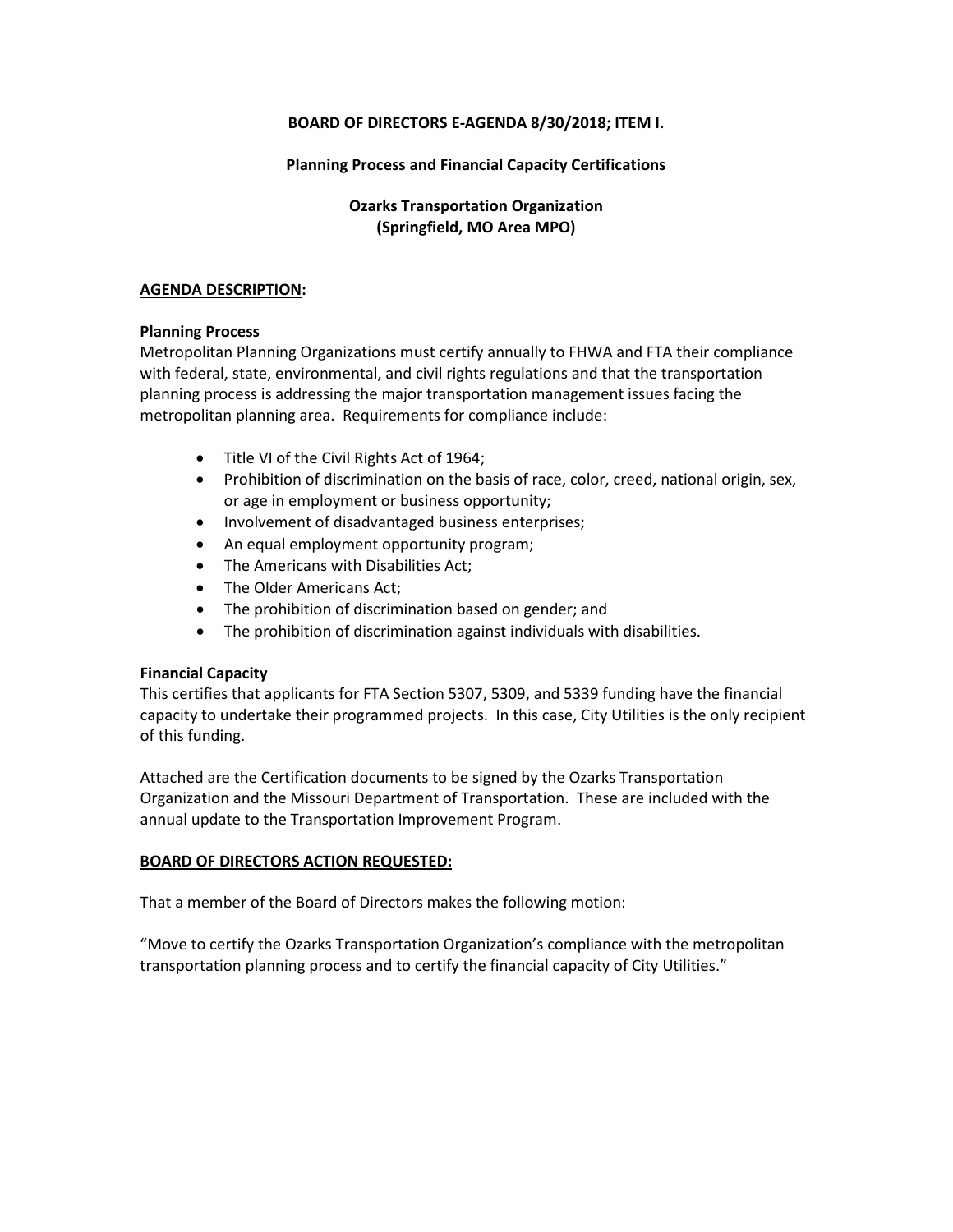## **BOARD OF DIRECTORS E-AGENDA 8/30/2018; ITEM I.**

## **Planning Process and Financial Capacity Certifications**

# **Ozarks Transportation Organization (Springfield, MO Area MPO)**

#### **AGENDA DESCRIPTION:**

#### **Planning Process**

Metropolitan Planning Organizations must certify annually to FHWA and FTA their compliance with federal, state, environmental, and civil rights regulations and that the transportation planning process is addressing the major transportation management issues facing the metropolitan planning area. Requirements for compliance include:

- Title VI of the Civil Rights Act of 1964;
- Prohibition of discrimination on the basis of race, color, creed, national origin, sex, or age in employment or business opportunity;
- Involvement of disadvantaged business enterprises;
- An equal employment opportunity program;
- The Americans with Disabilities Act;
- The Older Americans Act:
- The prohibition of discrimination based on gender; and
- The prohibition of discrimination against individuals with disabilities.

## **Financial Capacity**

This certifies that applicants for FTA Section 5307, 5309, and 5339 funding have the financial capacity to undertake their programmed projects. In this case, City Utilities is the only recipient of this funding.

Attached are the Certification documents to be signed by the Ozarks Transportation Organization and the Missouri Department of Transportation. These are included with the annual update to the Transportation Improvement Program.

## **BOARD OF DIRECTORS ACTION REQUESTED:**

That a member of the Board of Directors makes the following motion:

"Move to certify the Ozarks Transportation Organization's compliance with the metropolitan transportation planning process and to certify the financial capacity of City Utilities."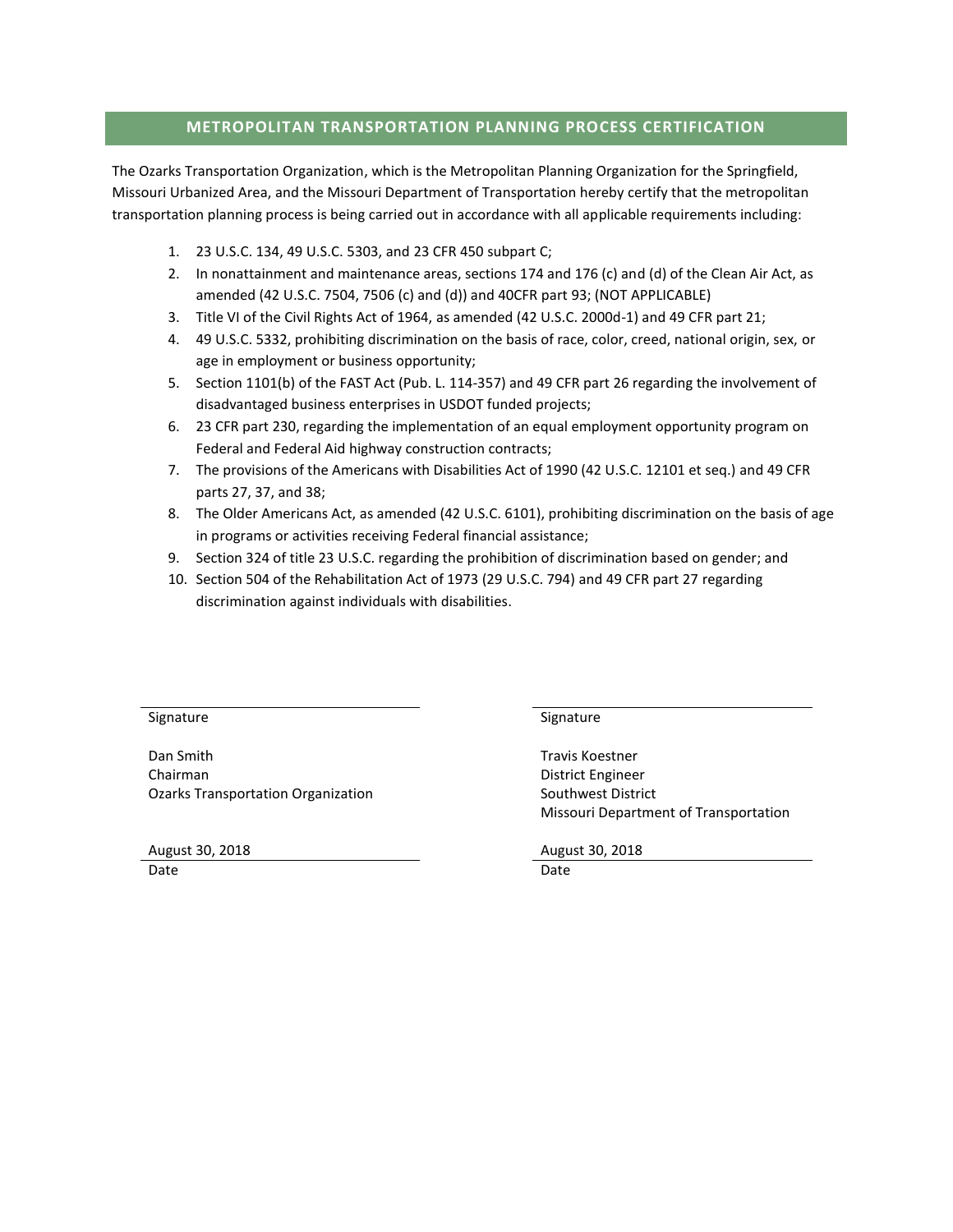## **METROPOLITAN TRANSPORTATION PLANNING PROCESS CERTIFICATION**

The Ozarks Transportation Organization, which is the Metropolitan Planning Organization for the Springfield, Missouri Urbanized Area, and the Missouri Department of Transportation hereby certify that the metropolitan transportation planning process is being carried out in accordance with all applicable requirements including:

- 1. 23 U.S.C. 134, 49 U.S.C. 5303, and 23 CFR 450 subpart C;
- 2. In nonattainment and maintenance areas, sections 174 and 176 (c) and (d) of the Clean Air Act, as amended (42 U.S.C. 7504, 7506 (c) and (d)) and 40CFR part 93; (NOT APPLICABLE)
- 3. Title VI of the Civil Rights Act of 1964, as amended (42 U.S.C. 2000d-1) and 49 CFR part 21;
- 4. 49 U.S.C. 5332, prohibiting discrimination on the basis of race, color, creed, national origin, sex, or age in employment or business opportunity;
- 5. Section 1101(b) of the FAST Act (Pub. L. 114-357) and 49 CFR part 26 regarding the involvement of disadvantaged business enterprises in USDOT funded projects;
- 6. 23 CFR part 230, regarding the implementation of an equal employment opportunity program on Federal and Federal Aid highway construction contracts;
- 7. The provisions of the Americans with Disabilities Act of 1990 (42 U.S.C. 12101 et seq.) and 49 CFR parts 27, 37, and 38;
- 8. The Older Americans Act, as amended (42 U.S.C. 6101), prohibiting discrimination on the basis of age in programs or activities receiving Federal financial assistance;
- 9. Section 324 of title 23 U.S.C. regarding the prohibition of discrimination based on gender; and
- 10. Section 504 of the Rehabilitation Act of 1973 (29 U.S.C. 794) and 49 CFR part 27 regarding discrimination against individuals with disabilities.

Signature Signature Signature Signature Signature

Dan Smith Travis Koestner Chairman District Engineer Ozarks Transportation Organization Summan Southwest District

August 30, 2018 August 30, 2018 Date **Date** Date **Date** Date **Date** Date **Date** 

Missouri Department of Transportation